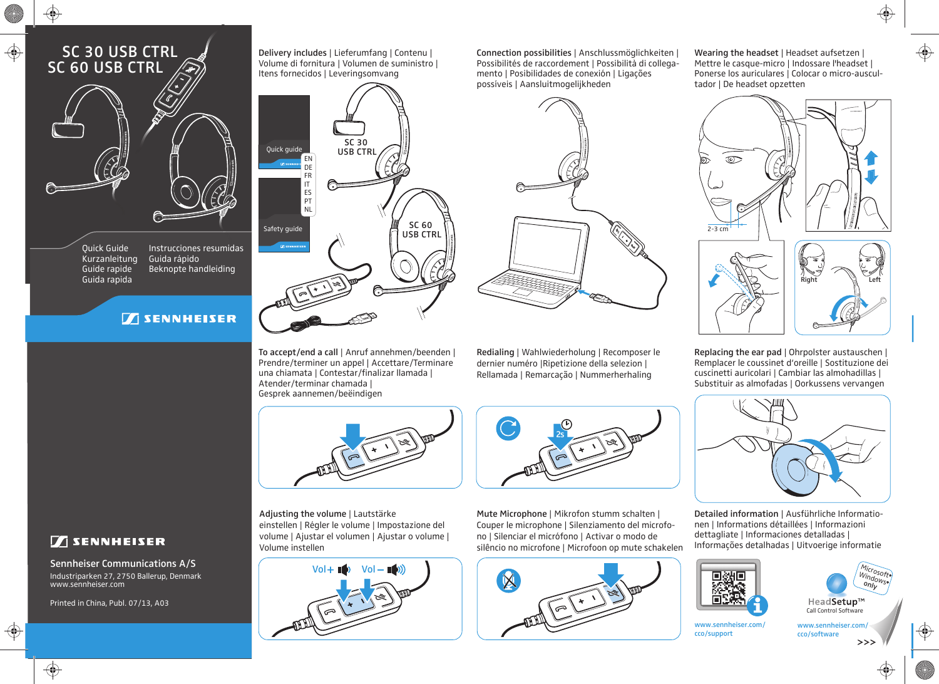## SC 30 USB CTRL SC 60 USB CTRL

⊕



Quick Guide Kurzanleitung Guide rapide Guida rapida

Instrucciones resumidas Guida rápido Beknopte handleiding

## **TENNHEISER**



To accept/end a call | Anruf annehmen/beenden | Prendre/terminer un appel | Accettare/Terminare una chiamata | Contestar/finalizar llamada |

Atender/terminar chamada | Gesprek aannemen/beëindigen

Delivery includes | Lieferumfang | Contenu |

 $Vol + \blacksquare$  Vol -  $\blacksquare$ 

einstellen | Régler le volume | Impostazione del volume | Ajustar el volumen | Ajustar o volume |

Adjusting the volume | Lautstärke

Volume instellen

Possibilités de raccordement | Possibilità di collegamento | Posibilidades de conexión | Ligações possíveis | Aansluitmogelijkheden

Connection possibilities | Anschlussmöglichkeiten |

2s

Redialing | Wahlwiederholung | Recomposer le dernier numéro |Ripetizione della selezion | Rellamada | Remarcação | Nummerherhaling

Mute Microphone | Mikrofon stumm schalten | Couper le microphone | Silenziamento del microfono | Silenciar el micrófono | Activar o modo de silêncio no microfone | Microfoon op mute schakelen Wearing the headset | Headset aufsetzen | Mettre le casque-micro | Indossare l'headset | Ponerse los auriculares | Colocar o micro-auscultador | De headset opzetten



Replacing the ear pad | Ohrpolster austauschen | Remplacer le coussinet d'oreille | Sostituzione dei cuscinetti auricolari | Cambiar las almohadillas | Substituir as almofadas | Oorkussens vervangen



Detailed information | Ausführliche Informationen | Informations détaillées | Informazioni dettagliate | Informaciones detalladas | Informações detalhadas | Uitvoerige informatie



cco/support

Micro soft Windows  $\stackrel{on/p}{\rule{2.8pt}{0.5pt}}$ HeadSetup™ Call Control Software

www.sennheiser.com/



www.sennheiser.com/ cco/software

 $>>$ 

 $\boxed{\phantom{1}}$  SENNHEISER

Industriparken 27, 2750 Ballerup, Denmark www.sennheiser.com Sennheiser Communications A/S

Printed in China, Publ. 07/13, A03



 $\bigoplus$ 

⊕